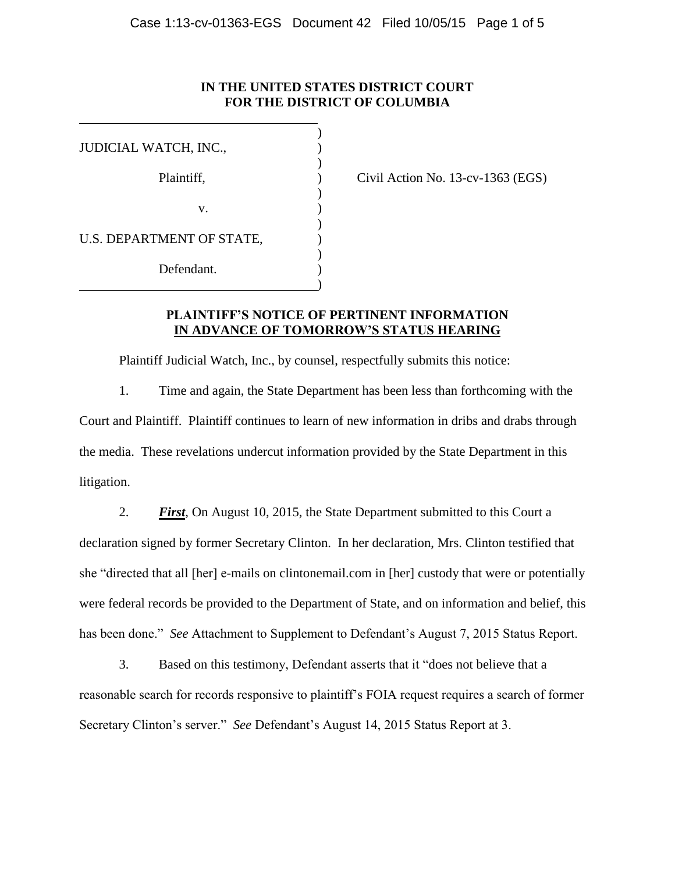### **IN THE UNITED STATES DISTRICT COURT FOR THE DISTRICT OF COLUMBIA**

| JUDICIAL WATCH, INC.,     |  |
|---------------------------|--|
| Plaintiff,                |  |
|                           |  |
| v.                        |  |
| U.S. DEPARTMENT OF STATE, |  |
| Defendant.                |  |
|                           |  |

Civil Action No.  $13$ -cv-1363 (EGS)

## **PLAINTIFF'S NOTICE OF PERTINENT INFORMATION IN ADVANCE OF TOMORROW'S STATUS HEARING**

Plaintiff Judicial Watch, Inc., by counsel, respectfully submits this notice:

1. Time and again, the State Department has been less than forthcoming with the Court and Plaintiff. Plaintiff continues to learn of new information in dribs and drabs through the media. These revelations undercut information provided by the State Department in this litigation.

2. *First*, On August 10, 2015, the State Department submitted to this Court a declaration signed by former Secretary Clinton. In her declaration, Mrs. Clinton testified that she "directed that all [her] e-mails on clintonemail.com in [her] custody that were or potentially were federal records be provided to the Department of State, and on information and belief, this has been done." *See* Attachment to Supplement to Defendant's August 7, 2015 Status Report.

3. Based on this testimony, Defendant asserts that it "does not believe that a reasonable search for records responsive to plaintiff's FOIA request requires a search of former Secretary Clinton's server." *See* Defendant's August 14, 2015 Status Report at 3.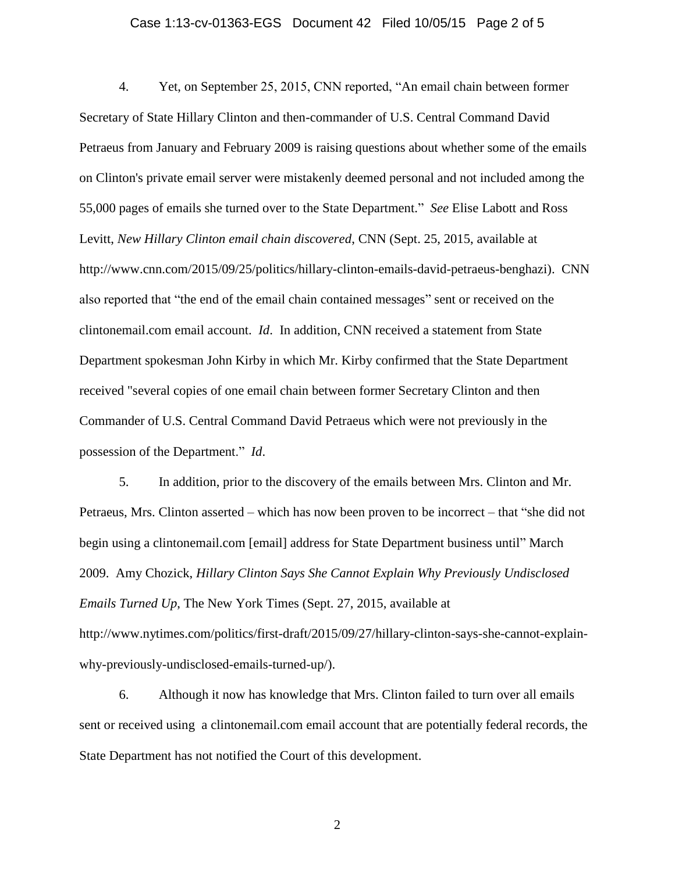#### Case 1:13-cv-01363-EGS Document 42 Filed 10/05/15 Page 2 of 5

4. Yet, on September 25, 2015, CNN reported, "An email chain between former Secretary of State Hillary Clinton and then-commander of U.S. Central Command David Petraeus from January and February 2009 is raising questions about whether some of the emails on Clinton's private email server were mistakenly deemed personal and not included among the 55,000 pages of emails she turned over to the State Department." *See* Elise Labott and Ross Levitt, *New Hillary Clinton email chain discovered*, CNN (Sept. 25, 2015, available at http://www.cnn.com/2015/09/25/politics/hillary-clinton-emails-david-petraeus-benghazi). CNN also reported that "the end of the email chain contained messages" sent or received on the clintonemail.com email account. *Id*. In addition, CNN received a statement from State Department spokesman John Kirby in which Mr. Kirby confirmed that the State Department received "several copies of one email chain between former Secretary Clinton and then Commander of U.S. Central Command David Petraeus which were not previously in the possession of the Department." *Id*.

5. In addition, prior to the discovery of the emails between Mrs. Clinton and Mr. Petraeus, Mrs. Clinton asserted – which has now been proven to be incorrect – that "she did not begin using a clintonemail.com [email] address for State Department business until" March 2009. Amy Chozick, *Hillary Clinton Says She Cannot Explain Why Previously Undisclosed Emails Turned Up*, The New York Times (Sept. 27, 2015, available at http://www.nytimes.com/politics/first-draft/2015/09/27/hillary-clinton-says-she-cannot-explainwhy-previously-undisclosed-emails-turned-up/).

6. Although it now has knowledge that Mrs. Clinton failed to turn over all emails sent or received using a clintonemail.com email account that are potentially federal records, the State Department has not notified the Court of this development.

2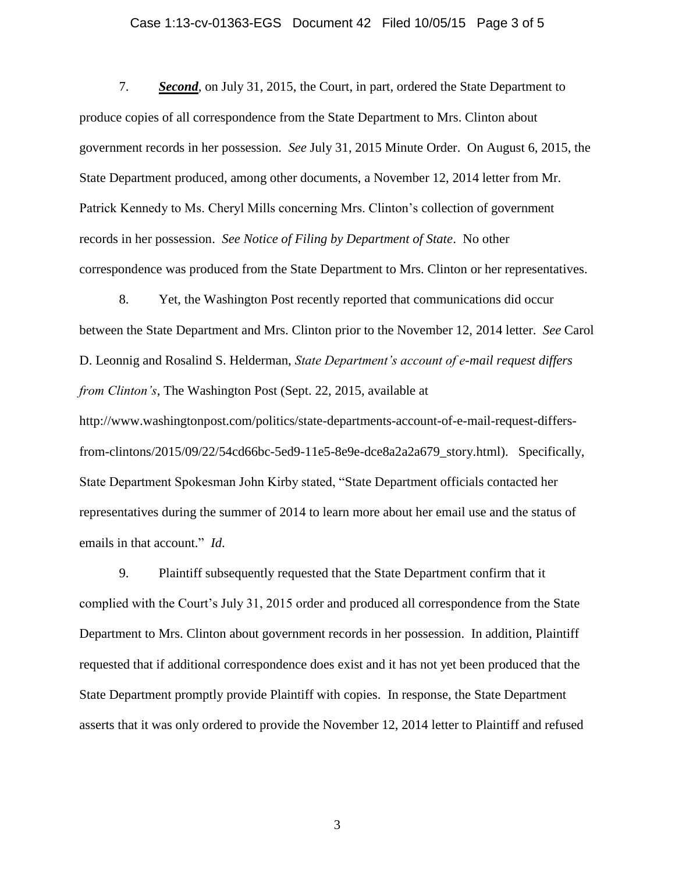#### Case 1:13-cv-01363-EGS Document 42 Filed 10/05/15 Page 3 of 5

7. *Second*, on July 31, 2015, the Court, in part, ordered the State Department to produce copies of all correspondence from the State Department to Mrs. Clinton about government records in her possession. *See* July 31, 2015 Minute Order. On August 6, 2015, the State Department produced, among other documents, a November 12, 2014 letter from Mr. Patrick Kennedy to Ms. Cheryl Mills concerning Mrs. Clinton's collection of government records in her possession. *See Notice of Filing by Department of State*. No other correspondence was produced from the State Department to Mrs. Clinton or her representatives.

8. Yet, the Washington Post recently reported that communications did occur between the State Department and Mrs. Clinton prior to the November 12, 2014 letter. *See* Carol D. Leonnig and Rosalind S. Helderman, *State Department's account of e-mail request differs from Clinton's*, The Washington Post (Sept. 22, 2015, available at http://www.washingtonpost.com/politics/state-departments-account-of-e-mail-request-differsfrom-clintons/2015/09/22/54cd66bc-5ed9-11e5-8e9e-dce8a2a2a679\_story.html). Specifically, State Department Spokesman John Kirby stated, "State Department officials contacted her representatives during the summer of 2014 to learn more about her email use and the status of

9. Plaintiff subsequently requested that the State Department confirm that it complied with the Court's July 31, 2015 order and produced all correspondence from the State Department to Mrs. Clinton about government records in her possession. In addition, Plaintiff requested that if additional correspondence does exist and it has not yet been produced that the State Department promptly provide Plaintiff with copies. In response, the State Department asserts that it was only ordered to provide the November 12, 2014 letter to Plaintiff and refused

emails in that account." *Id*.

3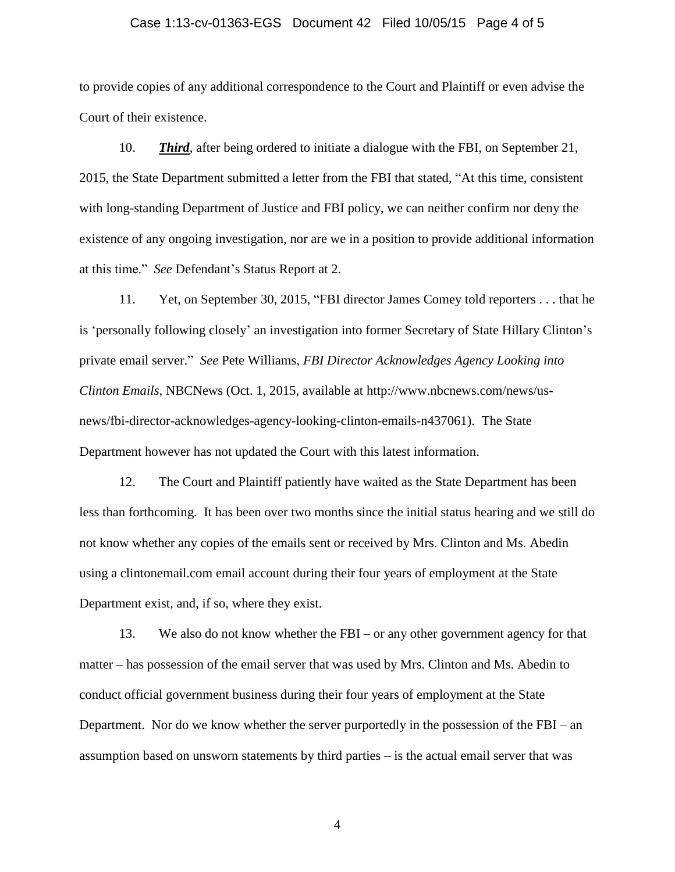#### Case 1:13-cv-01363-EGS Document 42 Filed 10/05/15 Page 4 of 5

to provide copies of any additional correspondence to the Court and Plaintiff or even advise the Court of their existence.

10. *Third*, after being ordered to initiate a dialogue with the FBI, on September 21, 2015, the State Department submitted a letter from the FBI that stated, "At this time, consistent with long-standing Department of Justice and FBI policy, we can neither confirm nor deny the existence of any ongoing investigation, nor are we in a position to provide additional information at this time." *See* Defendant's Status Report at 2.

11. Yet, on September 30, 2015, "FBI director James Comey told reporters . . . that he is 'personally following closely' an investigation into former Secretary of State Hillary Clinton's private email server." *See* Pete Williams, *FBI Director Acknowledges Agency Looking into Clinton Emails*, NBCNews (Oct. 1, 2015, available at http://www.nbcnews.com/news/usnews/fbi-director-acknowledges-agency-looking-clinton-emails-n437061). The State Department however has not updated the Court with this latest information.

12. The Court and Plaintiff patiently have waited as the State Department has been less than forthcoming. It has been over two months since the initial status hearing and we still do not know whether any copies of the emails sent or received by Mrs. Clinton and Ms. Abedin using a clintonemail.com email account during their four years of employment at the State Department exist, and, if so, where they exist.

13. We also do not know whether the FBI – or any other government agency for that matter – has possession of the email server that was used by Mrs. Clinton and Ms. Abedin to conduct official government business during their four years of employment at the State Department. Nor do we know whether the server purportedly in the possession of the FBI – an assumption based on unsworn statements by third parties – is the actual email server that was

4